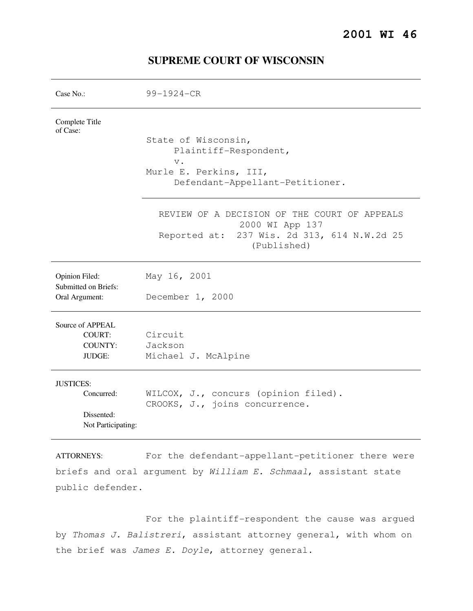| Case No.:                                                            | $99 - 1924 - CR$                                                                                                              |
|----------------------------------------------------------------------|-------------------------------------------------------------------------------------------------------------------------------|
| Complete Title<br>of Case:                                           | State of Wisconsin,<br>Plaintiff-Respondent,<br>$V$ .<br>Murle E. Perkins, III,<br>Defendant-Appellant-Petitioner.            |
|                                                                      | REVIEW OF A DECISION OF THE COURT OF APPEALS<br>2000 WI App 137<br>Reported at: 237 Wis. 2d 313, 614 N.W.2d 25<br>(Published) |
| Opinion Filed:<br>Submitted on Briefs:<br>Oral Argument:             | May 16, 2001<br>December 1, 2000                                                                                              |
| Source of APPEAL<br><b>COURT:</b><br><b>COUNTY:</b><br><b>JUDGE:</b> | Circuit<br>Jackson<br>Michael J. McAlpine                                                                                     |
| <b>JUSTICES:</b><br>Concurred:<br>Dissented:<br>Not Participating:   | WILCOX, J., concurs (opinion filed).<br>CROOKS, J., joins concurrence.                                                        |

# **SUPREME COURT OF WISCONSIN**

ATTORNEYS: For the defendant-appellant-petitioner there were briefs and oral argument by William E. Schmaal, assistant state public defender.

 For the plaintiff-respondent the cause was argued by Thomas J. Balistreri, assistant attorney general, with whom on the brief was James E. Doyle, attorney general.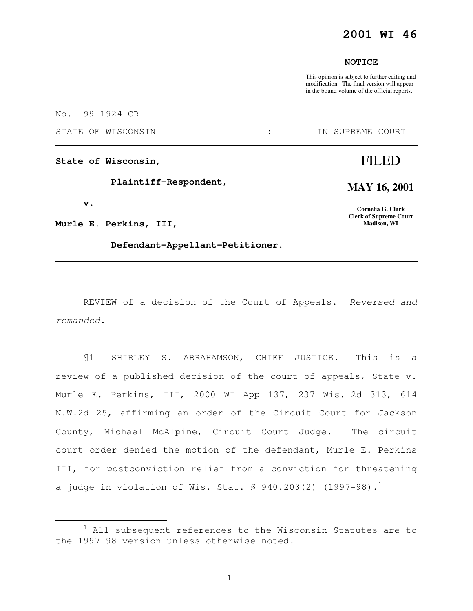### **2001 WI 46**

#### **NOTICE**

This opinion is subject to further editing and modification. The final version will appear in the bound volume of the official reports.

No. 99-1924-CR

STATE OF WISCONSIN  $\qquad \qquad : \qquad \qquad$  IN SUPREME COURT

**State of Wisconsin,** 

 **Plaintiff-Respondent,** 

 **v.** 

e<br>S

**Murle E. Perkins, III,** 

 **Defendant-Appellant-Petitioner.** 

# FILED

**MAY 16, 2001** 

**Cornelia G. Clark Clerk of Supreme Court Madison, WI** 

REVIEW of a decision of the Court of Appeals. Reversed and remanded.

¶1 SHIRLEY S. ABRAHAMSON, CHIEF JUSTICE. This is a review of a published decision of the court of appeals, State v. Murle E. Perkins, III, 2000 WI App 137, 237 Wis. 2d 313, 614 N.W.2d 25, affirming an order of the Circuit Court for Jackson County, Michael McAlpine, Circuit Court Judge. The circuit court order denied the motion of the defendant, Murle E. Perkins III, for postconviction relief from a conviction for threatening a judge in violation of Wis. Stat.  $\frac{1}{5}$  940.203(2) (1997-98).<sup>1</sup>

 $1$  All subsequent references to the Wisconsin Statutes are to the 1997-98 version unless otherwise noted.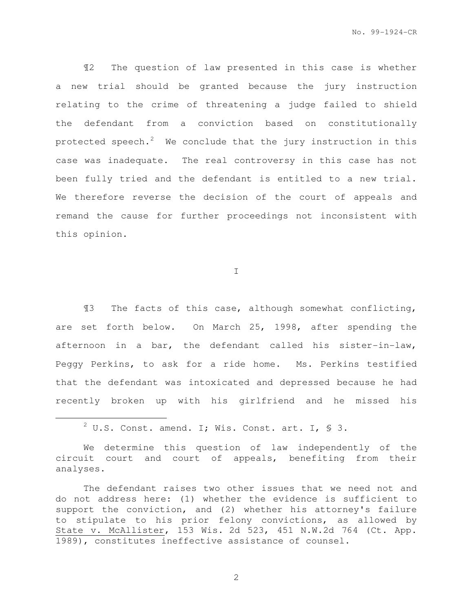¶2 The question of law presented in this case is whether a new trial should be granted because the jury instruction relating to the crime of threatening a judge failed to shield the defendant from a conviction based on constitutionally protected speech.<sup>2</sup> We conclude that the jury instruction in this case was inadequate. The real controversy in this case has not been fully tried and the defendant is entitled to a new trial. We therefore reverse the decision of the court of appeals and remand the cause for further proceedings not inconsistent with this opinion.

I

¶3 The facts of this case, although somewhat conflicting, are set forth below. On March 25, 1998, after spending the afternoon in a bar, the defendant called his sister-in-law, Peggy Perkins, to ask for a ride home. Ms. Perkins testified that the defendant was intoxicated and depressed because he had recently broken up with his girlfriend and he missed his

e<br>S

 ${}^{2}$  U.S. Const. amend. I; Wis. Const. art. I, § 3.

We determine this question of law independently of the circuit court and court of appeals, benefiting from their analyses.

The defendant raises two other issues that we need not and do not address here: (1) whether the evidence is sufficient to support the conviction, and (2) whether his attorney's failure to stipulate to his prior felony convictions, as allowed by State v. McAllister, 153 Wis. 2d 523, 451 N.W.2d 764 (Ct. App. 1989), constitutes ineffective assistance of counsel.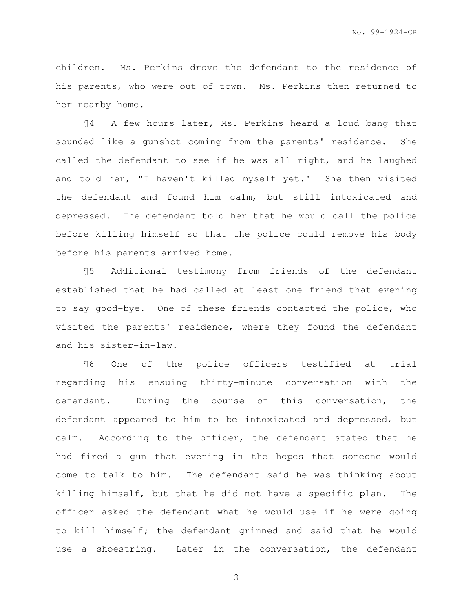children. Ms. Perkins drove the defendant to the residence of his parents, who were out of town. Ms. Perkins then returned to her nearby home.

¶4 A few hours later, Ms. Perkins heard a loud bang that sounded like a gunshot coming from the parents' residence. She called the defendant to see if he was all right, and he laughed and told her, "I haven't killed myself yet." She then visited the defendant and found him calm, but still intoxicated and depressed. The defendant told her that he would call the police before killing himself so that the police could remove his body before his parents arrived home.

¶5 Additional testimony from friends of the defendant established that he had called at least one friend that evening to say good-bye. One of these friends contacted the police, who visited the parents' residence, where they found the defendant and his sister-in-law.

¶6 One of the police officers testified at trial regarding his ensuing thirty-minute conversation with the defendant. During the course of this conversation, the defendant appeared to him to be intoxicated and depressed, but calm. According to the officer, the defendant stated that he had fired a gun that evening in the hopes that someone would come to talk to him. The defendant said he was thinking about killing himself, but that he did not have a specific plan. The officer asked the defendant what he would use if he were going to kill himself; the defendant grinned and said that he would use a shoestring. Later in the conversation, the defendant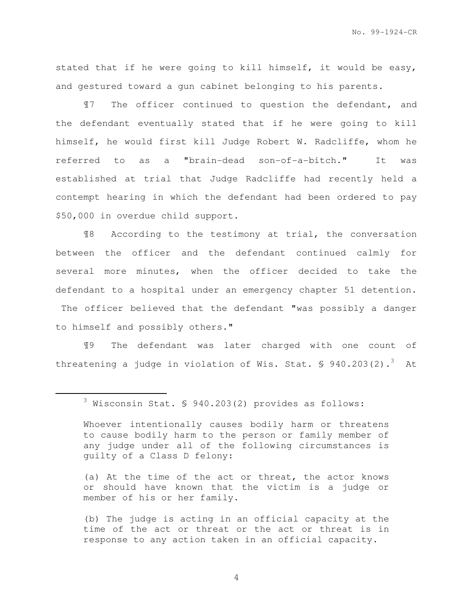stated that if he were going to kill himself, it would be easy, and gestured toward a gun cabinet belonging to his parents.

¶7 The officer continued to question the defendant, and the defendant eventually stated that if he were going to kill himself, he would first kill Judge Robert W. Radcliffe, whom he referred to as a "brain-dead son-of-a-bitch." It was established at trial that Judge Radcliffe had recently held a contempt hearing in which the defendant had been ordered to pay \$50,000 in overdue child support.

¶8 According to the testimony at trial, the conversation between the officer and the defendant continued calmly for several more minutes, when the officer decided to take the defendant to a hospital under an emergency chapter 51 detention. The officer believed that the defendant "was possibly a danger to himself and possibly others."

¶9 The defendant was later charged with one count of threatening a judge in violation of Wis. Stat.  $\frac{1}{5}$  940.203(2).<sup>3</sup> At

e<br>S

(a) At the time of the act or threat, the actor knows or should have known that the victim is a judge or member of his or her family.

(b) The judge is acting in an official capacity at the time of the act or threat or the act or threat is in response to any action taken in an official capacity.

<sup>3</sup> Wisconsin Stat. § 940.203(2) provides as follows:

Whoever intentionally causes bodily harm or threatens to cause bodily harm to the person or family member of any judge under all of the following circumstances is guilty of a Class D felony: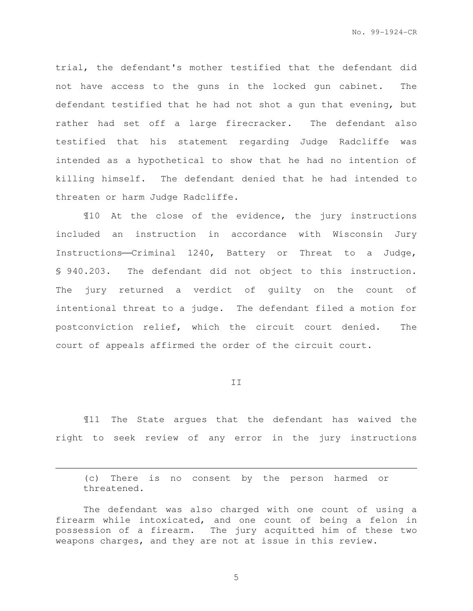trial, the defendant's mother testified that the defendant did not have access to the guns in the locked gun cabinet. The defendant testified that he had not shot a gun that evening, but rather had set off a large firecracker. The defendant also testified that his statement regarding Judge Radcliffe was intended as a hypothetical to show that he had no intention of killing himself. The defendant denied that he had intended to threaten or harm Judge Radcliffe.

¶10 At the close of the evidence, the jury instructions included an instruction in accordance with Wisconsin Jury Instructions-Criminal 1240, Battery or Threat to a Judge, § 940.203. The defendant did not object to this instruction. The jury returned a verdict of guilty on the count of intentional threat to a judge. The defendant filed a motion for postconviction relief, which the circuit court denied. The court of appeals affirmed the order of the circuit court.

II

¶11 The State argues that the defendant has waived the right to seek review of any error in the jury instructions

(c) There is no consent by the person harmed or threatened.

e<br>S

The defendant was also charged with one count of using a firearm while intoxicated, and one count of being a felon in possession of a firearm. The jury acquitted him of these two weapons charges, and they are not at issue in this review.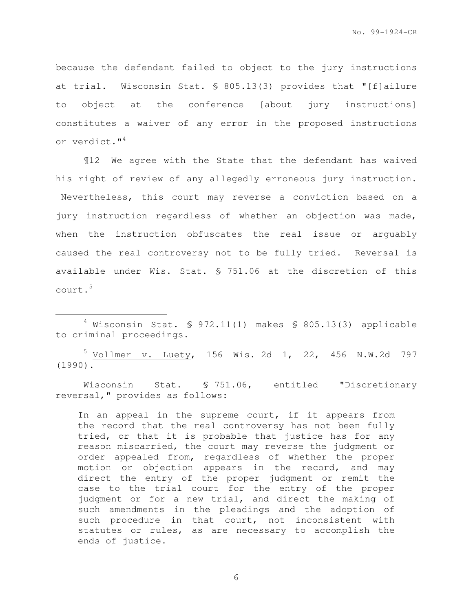because the defendant failed to object to the jury instructions at trial. Wisconsin Stat. § 805.13(3) provides that "[f]ailure to object at the conference [about jury instructions] constitutes a waiver of any error in the proposed instructions or verdict."<sup>4</sup>

¶12 We agree with the State that the defendant has waived his right of review of any allegedly erroneous jury instruction. Nevertheless, this court may reverse a conviction based on a jury instruction regardless of whether an objection was made, when the instruction obfuscates the real issue or arguably caused the real controversy not to be fully tried. Reversal is available under Wis. Stat. § 751.06 at the discretion of this court.<sup>5</sup>

e<br>S

<sup>5</sup> Vollmer v. Luety, 156 Wis. 2d 1, 22, 456 N.W.2d 797 (1990).

Wisconsin Stat. § 751.06, entitled "Discretionary reversal," provides as follows:

In an appeal in the supreme court, if it appears from the record that the real controversy has not been fully tried, or that it is probable that justice has for any reason miscarried, the court may reverse the judgment or order appealed from, regardless of whether the proper motion or objection appears in the record, and may direct the entry of the proper judgment or remit the case to the trial court for the entry of the proper judgment or for a new trial, and direct the making of such amendments in the pleadings and the adoption of such procedure in that court, not inconsistent with statutes or rules, as are necessary to accomplish the ends of justice.

 $4$  Wisconsin Stat. § 972.11(1) makes § 805.13(3) applicable to criminal proceedings.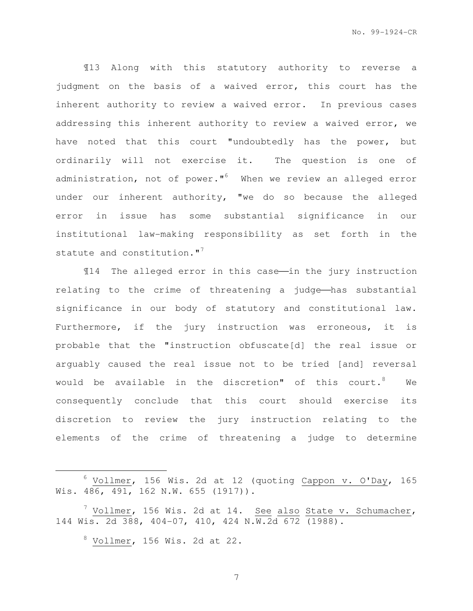¶13 Along with this statutory authority to reverse a judgment on the basis of a waived error, this court has the inherent authority to review a waived error. In previous cases addressing this inherent authority to review a waived error, we have noted that this court "undoubtedly has the power, but ordinarily will not exercise it. The question is one of administration, not of power." $^{6}$  When we review an alleged error under our inherent authority, "we do so because the alleged error in issue has some substantial significance in our institutional law-making responsibility as set forth in the statute and constitution."<sup>7</sup>

 $14$  The alleged error in this case—in the jury instruction relating to the crime of threatening a judge—has substantial significance in our body of statutory and constitutional law. Furthermore, if the jury instruction was erroneous, it is probable that the "instruction obfuscate[d] the real issue or arguably caused the real issue not to be tried [and] reversal would be available in the discretion" of this court.  $8$  We consequently conclude that this court should exercise its discretion to review the jury instruction relating to the elements of the crime of threatening a judge to determine

 $8$  Vollmer, 156 Wis. 2d at 22.

e<br>S

 $6$  Vollmer, 156 Wis. 2d at 12 (quoting Cappon v. O'Day, 165 Wis. 486, 491, 162 N.W. 655 (1917)).

<sup>&</sup>lt;sup>7</sup> Vollmer, 156 Wis. 2d at 14. <u>See also State v. Schumacher</u>, 144 Wis. 2d 388, 404-07, 410, 424 N.W.2d 672 (1988).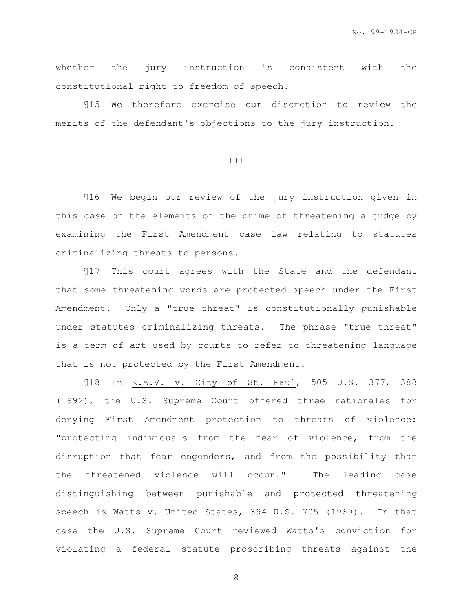whether the jury instruction is consistent with the constitutional right to freedom of speech.

¶15 We therefore exercise our discretion to review the merits of the defendant's objections to the jury instruction.

#### III

¶16 We begin our review of the jury instruction given in this case on the elements of the crime of threatening a judge by examining the First Amendment case law relating to statutes criminalizing threats to persons.

¶17 This court agrees with the State and the defendant that some threatening words are protected speech under the First Amendment. Only a "true threat" is constitutionally punishable under statutes criminalizing threats. The phrase "true threat" is a term of art used by courts to refer to threatening language that is not protected by the First Amendment.

¶18 In R.A.V. v. City of St. Paul, 505 U.S. 377, 388 (1992), the U.S. Supreme Court offered three rationales for denying First Amendment protection to threats of violence: "protecting individuals from the fear of violence, from the disruption that fear engenders, and from the possibility that the threatened violence will occur." The leading case distinguishing between punishable and protected threatening speech is Watts v. United States, 394 U.S. 705 (1969). In that case the U.S. Supreme Court reviewed Watts's conviction for violating a federal statute proscribing threats against the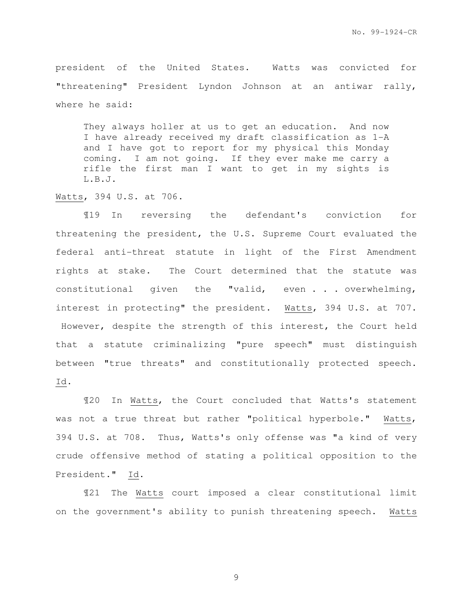president of the United States. Watts was convicted for "threatening" President Lyndon Johnson at an antiwar rally, where he said:

They always holler at us to get an education. And now I have already received my draft classification as 1-A and I have got to report for my physical this Monday coming. I am not going. If they ever make me carry a rifle the first man I want to get in my sights is L.B.J.

Watts, 394 U.S. at 706.

¶19 In reversing the defendant's conviction for threatening the president, the U.S. Supreme Court evaluated the federal anti-threat statute in light of the First Amendment rights at stake. The Court determined that the statute was constitutional given the "valid, even . . . overwhelming, interest in protecting" the president. Watts, 394 U.S. at 707. However, despite the strength of this interest, the Court held that a statute criminalizing "pure speech" must distinguish between "true threats" and constitutionally protected speech. Id.

¶20 In Watts, the Court concluded that Watts's statement was not a true threat but rather "political hyperbole." Watts, 394 U.S. at 708. Thus, Watts's only offense was "a kind of very crude offensive method of stating a political opposition to the President." Id.

¶21 The Watts court imposed a clear constitutional limit on the government's ability to punish threatening speech. Watts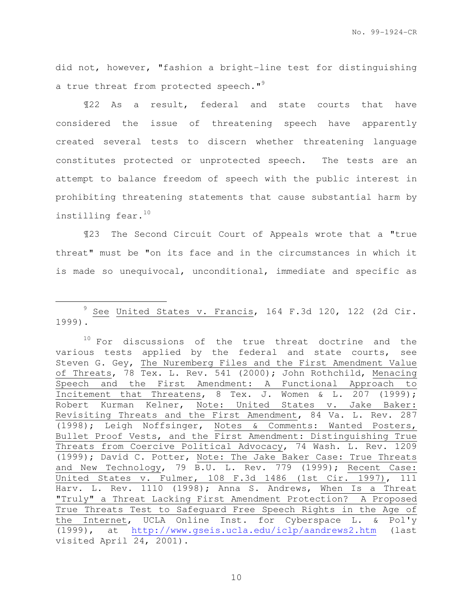No. 99-1924-CR

did not, however, "fashion a bright-line test for distinguishing a true threat from protected speech."<sup>9</sup>

¶22 As a result, federal and state courts that have considered the issue of threatening speech have apparently created several tests to discern whether threatening language constitutes protected or unprotected speech. The tests are an attempt to balance freedom of speech with the public interest in prohibiting threatening statements that cause substantial harm by instilling fear. $^{10}$ 

¶23 The Second Circuit Court of Appeals wrote that a "true threat" must be "on its face and in the circumstances in which it is made so unequivocal, unconditional, immediate and specific as

i<br>H

<sup>9</sup> See United States v. Francis, 164 F.3d 120, 122 (2d Cir. 1999).

 $10$  For discussions of the true threat doctrine and the various tests applied by the federal and state courts, see Steven G. Gey, The Nuremberg Files and the First Amendment Value of Threats, 78 Tex. L. Rev. 541 (2000); John Rothchild, Menacing Speech and the First Amendment: A Functional Approach to Incitement that Threatens, 8 Tex. J. Women & L. 207  $(1999)$ ; Robert Kurman Kelner, Note: United States v. Jake Baker: Revisiting Threats and the First Amendment, 84 Va. L. Rev. 287 (1998); Leigh Noffsinger, Notes & Comments: Wanted Posters, Bullet Proof Vests, and the First Amendment: Distinguishing True Threats from Coercive Political Advocacy, 74 Wash. L. Rev. 1209 (1999); David C. Potter, Note: The Jake Baker Case: True Threats and New Technology, 79 B.U. L. Rev. 779 (1999); Recent Case: United States v. Fulmer, 108 F.3d 1486 (1st Cir. 1997), 111 Harv. L. Rev. 1110 (1998); Anna S. Andrews, When Is a Threat "Truly" a Threat Lacking First Amendment Protection? A Proposed True Threats Test to Safeguard Free Speech Rights in the Age of the Internet, UCLA Online Inst. for Cyberspace L. & Pol'y (1999), at http://www.gseis.ucla.edu/iclp/aandrews2.htm (last visited April 24, 2001).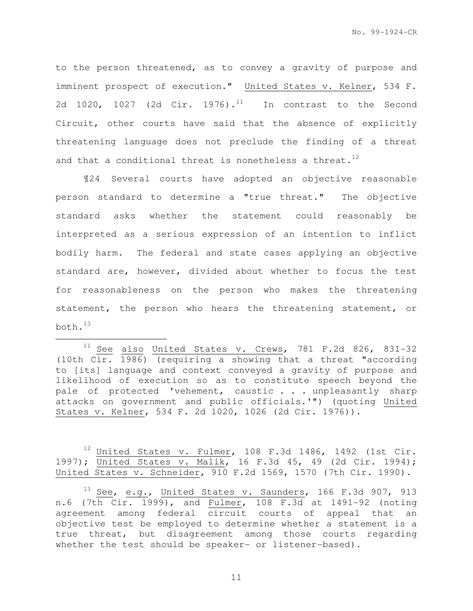to the person threatened, as to convey a gravity of purpose and imminent prospect of execution." United States v. Kelner, 534 F. 2d 1020, 1027 (2d Cir. 1976).<sup>11</sup> In contrast to the Second Circuit, other courts have said that the absence of explicitly threatening language does not preclude the finding of a threat and that a conditional threat is nonetheless a threat.<sup>12</sup>

¶24 Several courts have adopted an objective reasonable person standard to determine a "true threat." The objective standard asks whether the statement could reasonably be interpreted as a serious expression of an intention to inflict bodily harm. The federal and state cases applying an objective standard are, however, divided about whether to focus the test for reasonableness on the person who makes the threatening statement, the person who hears the threatening statement, or both. $^{13}$ 

e<br>S

 $12$  United States v. Fulmer, 108 F.3d 1486, 1492 (1st Cir. 1997); United States v. Malik, 16 F.3d 45, 49 (2d Cir. 1994); United States v. Schneider, 910 F.2d 1569, 1570 (7th Cir. 1990).

 $13$  See, e.g., United States v. Saunders, 166 F.3d 907, 913 n.6 (7th Cir. 1999), and Fulmer, 108 F.3d at 1491-92 (noting agreement among federal circuit courts of appeal that an objective test be employed to determine whether a statement is a true threat, but disagreement among those courts regarding whether the test should be speaker- or listener-based).

 $11$  See also United States v. Crews, 781 F.2d 826, 831-32 (10th Cir. 1986) (requiring a showing that a threat "according to [its] language and context conveyed a gravity of purpose and likelihood of execution so as to constitute speech beyond the pale of protected 'vehement, caustic . . . unpleasantly sharp attacks on government and public officials.'") (quoting United States v. Kelner, 534 F. 2d 1020, 1026 (2d Cir. 1976)).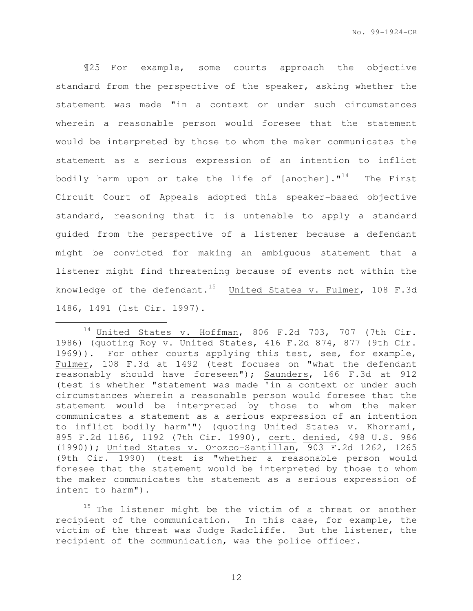¶25 For example, some courts approach the objective standard from the perspective of the speaker, asking whether the statement was made "in a context or under such circumstances wherein a reasonable person would foresee that the statement would be interpreted by those to whom the maker communicates the statement as a serious expression of an intention to inflict bodily harm upon or take the life of [another]. $1^{14}$  The First Circuit Court of Appeals adopted this speaker-based objective standard, reasoning that it is untenable to apply a standard guided from the perspective of a listener because a defendant might be convicted for making an ambiguous statement that a listener might find threatening because of events not within the knowledge of the defendant.<sup>15</sup> United States v. Fulmer, 108 F.3d 1486, 1491 (1st Cir. 1997).

e<br>S

 $15$  The listener might be the victim of a threat or another recipient of the communication. In this case, for example, the victim of the threat was Judge Radcliffe. But the listener, the recipient of the communication, was the police officer.

 $14$  United States v. Hoffman, 806 F.2d 703, 707 (7th Cir. 1986) (quoting Roy v. United States, 416 F.2d 874, 877 (9th Cir. 1969)). For other courts applying this test, see, for example, Fulmer, 108 F.3d at 1492 (test focuses on "what the defendant reasonably should have foreseen"); Saunders, 166 F.3d at 912 (test is whether "statement was made 'in a context or under such circumstances wherein a reasonable person would foresee that the statement would be interpreted by those to whom the maker communicates a statement as a serious expression of an intention to inflict bodily harm'") (quoting United States v. Khorrami, 895 F.2d 1186, 1192 (7th Cir. 1990), cert. denied, 498 U.S. 986 (1990)); United States v. Orozco-Santillan, 903 F.2d 1262, 1265 (9th Cir. 1990) (test is "whether a reasonable person would foresee that the statement would be interpreted by those to whom the maker communicates the statement as a serious expression of intent to harm").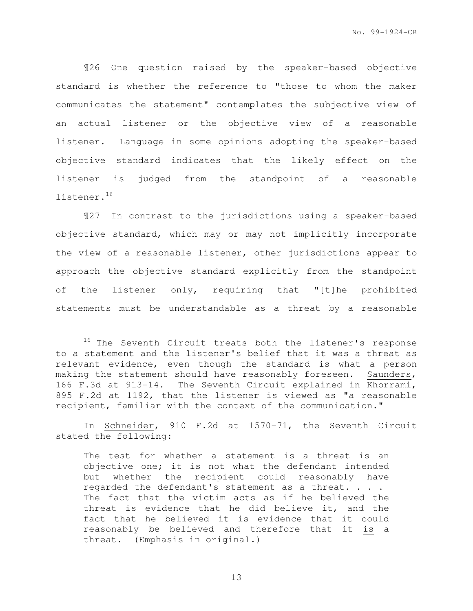¶26 One question raised by the speaker-based objective standard is whether the reference to "those to whom the maker communicates the statement" contemplates the subjective view of an actual listener or the objective view of a reasonable listener. Language in some opinions adopting the speaker-based objective standard indicates that the likely effect on the listener is judged from the standpoint of a reasonable listener.<sup>16</sup>

¶27 In contrast to the jurisdictions using a speaker-based objective standard, which may or may not implicitly incorporate the view of a reasonable listener, other jurisdictions appear to approach the objective standard explicitly from the standpoint of the listener only, requiring that "[t]he prohibited statements must be understandable as a threat by a reasonable

e<br>S

In Schneider, 910 F.2d at 1570-71, the Seventh Circuit stated the following:

The test for whether a statement is a threat is an objective one; it is not what the defendant intended but whether the recipient could reasonably have regarded the defendant's statement as a threat. . . . The fact that the victim acts as if he believed the threat is evidence that he did believe it, and the fact that he believed it is evidence that it could reasonably be believed and therefore that it is a threat. (Emphasis in original.)

<sup>&</sup>lt;sup>16</sup> The Seventh Circuit treats both the listener's response to a statement and the listener's belief that it was a threat as relevant evidence, even though the standard is what a person making the statement should have reasonably foreseen. Saunders, 166 F.3d at 913-14. The Seventh Circuit explained in Khorrami, 895 F.2d at 1192, that the listener is viewed as "a reasonable recipient, familiar with the context of the communication."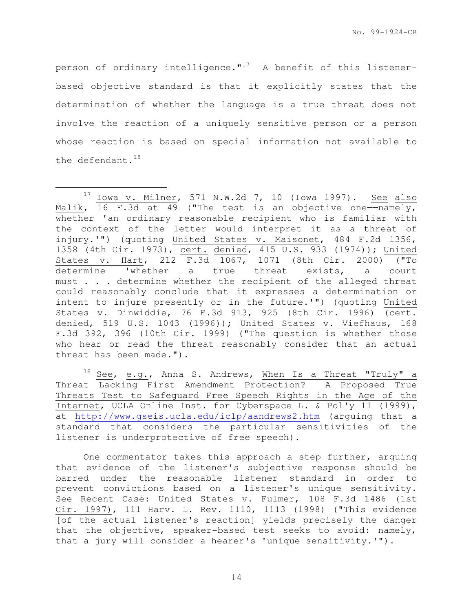person of ordinary intelligence. $"$ <sup>17</sup> A benefit of this listenerbased objective standard is that it explicitly states that the determination of whether the language is a true threat does not involve the reaction of a uniquely sensitive person or a person whose reaction is based on special information not available to the defendant. $18$ 

e<br>S

 $18$  See, e.g., Anna S. Andrews, When Is a Threat "Truly" a Threat Lacking First Amendment Protection? A Proposed True Threats Test to Safeguard Free Speech Rights in the Age of the Internet, UCLA Online Inst. for Cyberspace L. & Pol'y 11 (1999), at http://www.gseis.ucla.edu/iclp/aandrews2.htm (arguing that a standard that considers the particular sensitivities of the listener is underprotective of free speech).

One commentator takes this approach a step further, arguing that evidence of the listener's subjective response should be barred under the reasonable listener standard in order to prevent convictions based on a listener's unique sensitivity. See Recent Case: United States v. Fulmer, 108 F.3d 1486 (1st Cir. 1997), 111 Harv. L. Rev. 1110, 1113 (1998) ("This evidence [of the actual listener's reaction] yields precisely the danger that the objective, speaker-based test seeks to avoid: namely, that a jury will consider a hearer's 'unique sensitivity.'").

 $17$  Iowa v. Milner, 571 N.W.2d 7, 10 (Iowa 1997). See also Malik,  $16$  F.3d at 49 ("The test is an objective one---namely, whether 'an ordinary reasonable recipient who is familiar with the context of the letter would interpret it as a threat of injury.'") (quoting United States v. Maisonet, 484 F.2d 1356, 1358 (4th Cir. 1973), cert. denied, 415 U.S. 933 (1974)); United States v. Hart, 212 F.3d 1067, 1071 (8th Cir. 2000) ("To determine 'whether a true threat exists, a court must . . . determine whether the recipient of the alleged threat could reasonably conclude that it expresses a determination or intent to injure presently or in the future.'") (quoting United States v. Dinwiddie, 76 F.3d 913, 925 (8th Cir. 1996) (cert. denied, 519 U.S. 1043 (1996)); United States v. Viefhaus, 168 F.3d 392, 396 (10th Cir. 1999) ("The question is whether those who hear or read the threat reasonably consider that an actual threat has been made.").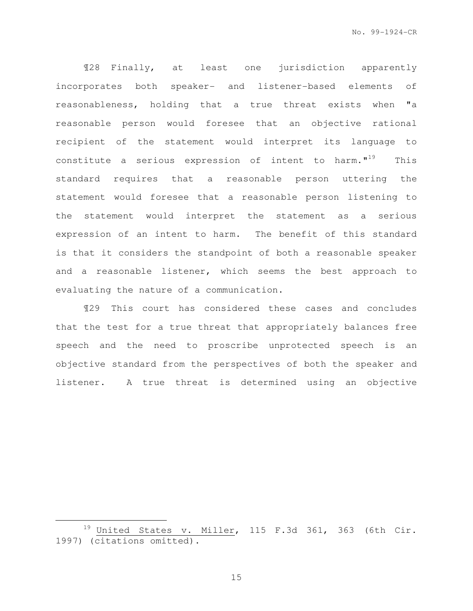¶28 Finally, at least one jurisdiction apparently incorporates both speaker- and listener-based elements of reasonableness, holding that a true threat exists when "a reasonable person would foresee that an objective rational recipient of the statement would interpret its language to constitute a serious expression of intent to harm. $1^{19}$  This standard requires that a reasonable person uttering the statement would foresee that a reasonable person listening to the statement would interpret the statement as a serious expression of an intent to harm. The benefit of this standard is that it considers the standpoint of both a reasonable speaker and a reasonable listener, which seems the best approach to evaluating the nature of a communication.

¶29 This court has considered these cases and concludes that the test for a true threat that appropriately balances free speech and the need to proscribe unprotected speech is an objective standard from the perspectives of both the speaker and listener. A true threat is determined using an objective

e<br>S

<sup>&</sup>lt;sup>19</sup> United States v. Mille<sub>r</sub>, 115 F.3d 361, 363 (6th Cir. 1997) (citations omitted).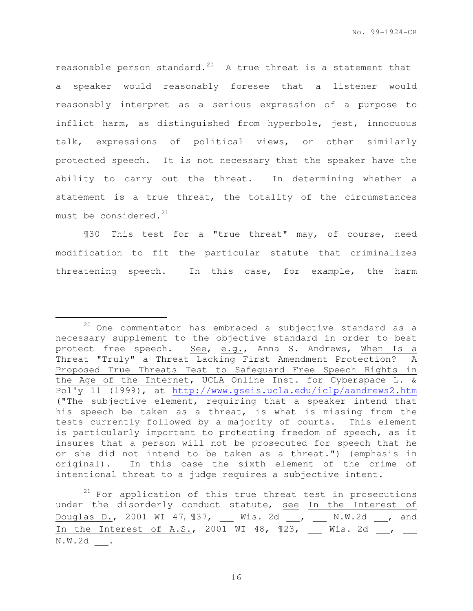reasonable person standard.<sup>20</sup> A true threat is a statement that a speaker would reasonably foresee that a listener would reasonably interpret as a serious expression of a purpose to inflict harm, as distinguished from hyperbole, jest, innocuous talk, expressions of political views, or other similarly protected speech. It is not necessary that the speaker have the ability to carry out the threat. In determining whether a statement is a true threat, the totality of the circumstances must be considered. $^{21}$ 

¶30 This test for a "true threat" may, of course, need modification to fit the particular statute that criminalizes threatening speech. In this case, for example, the harm

e<br>S

 $21$  For application of this true threat test in prosecutions under the disorderly conduct statute, see In the Interest of Douglas D., 2001 WI 47, ¶37, \_\_\_ Wis. 2d \_\_\_, \_\_\_ N.W.2d \_\_\_, and In the Interest of A.S., 2001 WI 48,  $\mathbb{I}23$ , \_\_\_ Wis. 2d \_\_, \_\_ N.W.2d \_\_\_.

 $20$  One commentator has embraced a subjective standard as a necessary supplement to the objective standard in order to best protect free speech. See, e.g., Anna S. Andrews, When Is a Threat "Truly" a Threat Lacking First Amendment Protection? A Proposed True Threats Test to Safeguard Free Speech Rights in the Age of the Internet, UCLA Online Inst. for Cyberspace L. & Pol'y 11 (1999), at http://www.gseis.ucla.edu/iclp/aandrews2.htm ("The subjective element, requiring that a speaker intend that his speech be taken as a threat, is what is missing from the tests currently followed by a majority of courts. This element is particularly important to protecting freedom of speech, as it insures that a person will not be prosecuted for speech that he or she did not intend to be taken as a threat.") (emphasis in original). In this case the sixth element of the crime of intentional threat to a judge requires a subjective intent.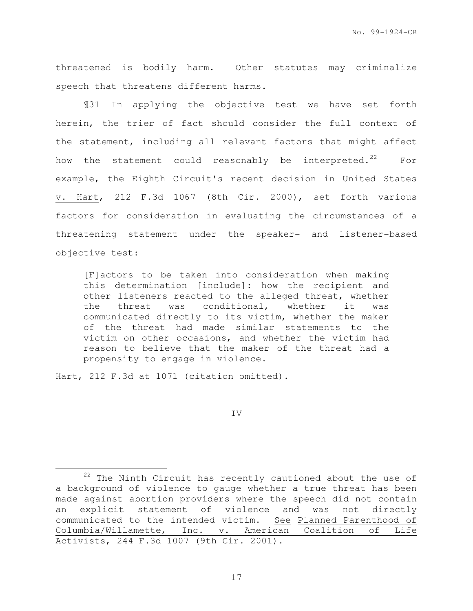threatened is bodily harm. Other statutes may criminalize speech that threatens different harms.

¶31 In applying the objective test we have set forth herein, the trier of fact should consider the full context of the statement, including all relevant factors that might affect how the statement could reasonably be interpreted.<sup>22</sup> For example, the Eighth Circuit's recent decision in United States v. Hart, 212 F.3d 1067 (8th Cir. 2000), set forth various factors for consideration in evaluating the circumstances of a threatening statement under the speaker- and listener-based objective test:

[F]actors to be taken into consideration when making this determination [include]: how the recipient and other listeners reacted to the alleged threat, whether the threat was conditional, whether it was communicated directly to its victim, whether the maker of the threat had made similar statements to the victim on other occasions, and whether the victim had reason to believe that the maker of the threat had a propensity to engage in violence.

Hart, 212 F.3d at 1071 (citation omitted).

e<br>S

IV

 $22$  The Ninth Circuit has recently cautioned about the use of a background of violence to gauge whether a true threat has been made against abortion providers where the speech did not contain an explicit statement of violence and was not directly communicated to the intended victim. See Planned Parenthood of Columbia/Willamette, Inc. v. American Coalition of Life Activists, 244 F.3d 1007 (9th Cir. 2001).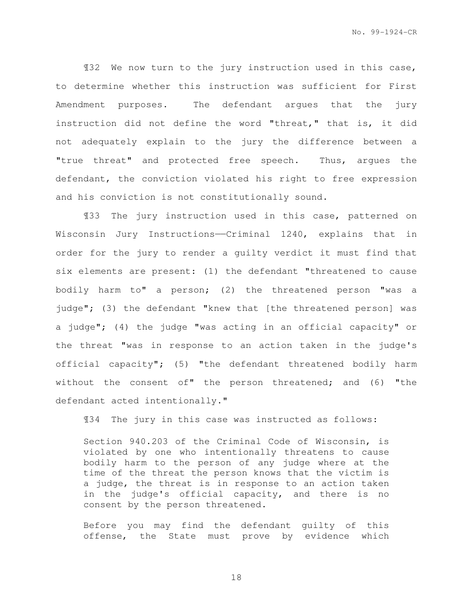¶32 We now turn to the jury instruction used in this case, to determine whether this instruction was sufficient for First Amendment purposes. The defendant argues that the jury instruction did not define the word "threat," that is, it did not adequately explain to the jury the difference between a "true threat" and protected free speech. Thus, argues the defendant, the conviction violated his right to free expression and his conviction is not constitutionally sound.

¶33 The jury instruction used in this case, patterned on Wisconsin Jury Instructions—Criminal 1240, explains that in order for the jury to render a guilty verdict it must find that six elements are present: (1) the defendant "threatened to cause bodily harm to" a person; (2) the threatened person "was a judge"; (3) the defendant "knew that [the threatened person] was a judge"; (4) the judge "was acting in an official capacity" or the threat "was in response to an action taken in the judge's official capacity"; (5) "the defendant threatened bodily harm without the consent of" the person threatened; and (6) "the defendant acted intentionally."

¶34 The jury in this case was instructed as follows:

Section 940.203 of the Criminal Code of Wisconsin, is violated by one who intentionally threatens to cause bodily harm to the person of any judge where at the time of the threat the person knows that the victim is a judge, the threat is in response to an action taken in the judge's official capacity, and there is no consent by the person threatened.

Before you may find the defendant guilty of this offense, the State must prove by evidence which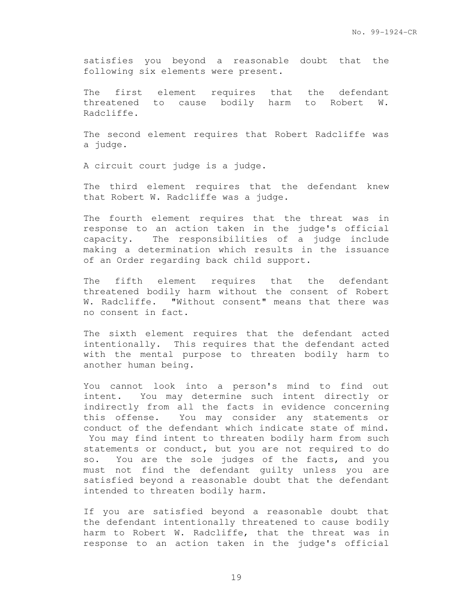satisfies you beyond a reasonable doubt that the following six elements were present.

The first element requires that the defendant threatened to cause bodily harm to Robert W. Radcliffe.

The second element requires that Robert Radcliffe was a judge.

A circuit court judge is a judge.

The third element requires that the defendant knew that Robert W. Radcliffe was a judge.

The fourth element requires that the threat was in response to an action taken in the judge's official capacity. The responsibilities of a judge include making a determination which results in the issuance of an Order regarding back child support.

The fifth element requires that the defendant threatened bodily harm without the consent of Robert W. Radcliffe. "Without consent" means that there was no consent in fact.

The sixth element requires that the defendant acted intentionally. This requires that the defendant acted with the mental purpose to threaten bodily harm to another human being.

You cannot look into a person's mind to find out intent. You may determine such intent directly or indirectly from all the facts in evidence concerning this offense. You may consider any statements or conduct of the defendant which indicate state of mind. You may find intent to threaten bodily harm from such statements or conduct, but you are not required to do so. You are the sole judges of the facts, and you must not find the defendant guilty unless you are satisfied beyond a reasonable doubt that the defendant intended to threaten bodily harm.

If you are satisfied beyond a reasonable doubt that the defendant intentionally threatened to cause bodily harm to Robert W. Radcliffe, that the threat was in response to an action taken in the judge's official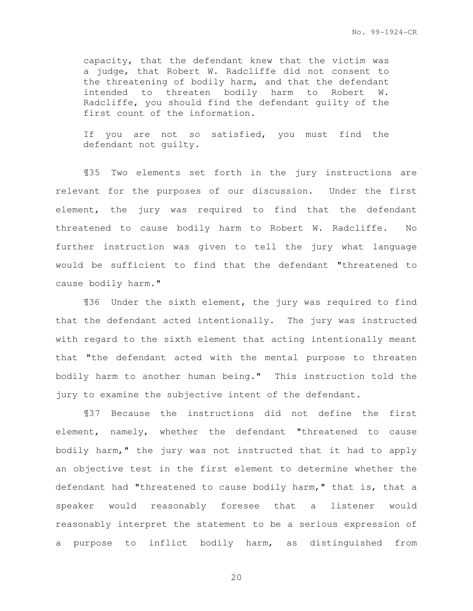capacity, that the defendant knew that the victim was a judge, that Robert W. Radcliffe did not consent to the threatening of bodily harm, and that the defendant intended to threaten bodily harm to Robert W. Radcliffe, you should find the defendant guilty of the first count of the information.

If you are not so satisfied, you must find the defendant not guilty.

¶35 Two elements set forth in the jury instructions are relevant for the purposes of our discussion. Under the first element, the jury was required to find that the defendant threatened to cause bodily harm to Robert W. Radcliffe. No further instruction was given to tell the jury what language would be sufficient to find that the defendant "threatened to cause bodily harm."

¶36 Under the sixth element, the jury was required to find that the defendant acted intentionally. The jury was instructed with regard to the sixth element that acting intentionally meant that "the defendant acted with the mental purpose to threaten bodily harm to another human being." This instruction told the jury to examine the subjective intent of the defendant.

¶37 Because the instructions did not define the first element, namely, whether the defendant "threatened to cause bodily harm," the jury was not instructed that it had to apply an objective test in the first element to determine whether the defendant had "threatened to cause bodily harm," that is, that a speaker would reasonably foresee that a listener would reasonably interpret the statement to be a serious expression of a purpose to inflict bodily harm, as distinguished from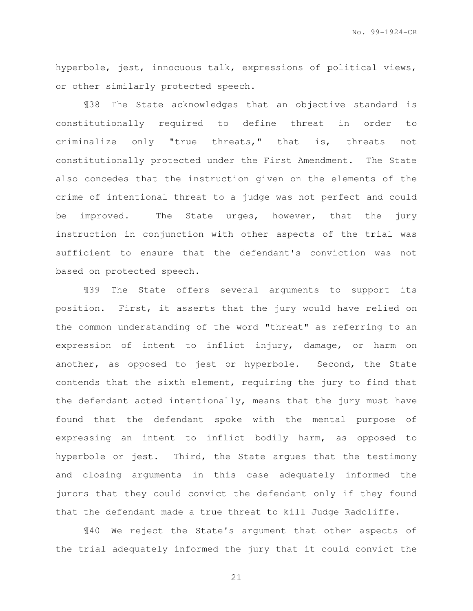No. 99-1924-CR

hyperbole, jest, innocuous talk, expressions of political views, or other similarly protected speech.

¶38 The State acknowledges that an objective standard is constitutionally required to define threat in order to criminalize only "true threats," that is, threats not constitutionally protected under the First Amendment. The State also concedes that the instruction given on the elements of the crime of intentional threat to a judge was not perfect and could be improved. The State urges, however, that the jury instruction in conjunction with other aspects of the trial was sufficient to ensure that the defendant's conviction was not based on protected speech.

¶39 The State offers several arguments to support its position. First, it asserts that the jury would have relied on the common understanding of the word "threat" as referring to an expression of intent to inflict injury, damage, or harm on another, as opposed to jest or hyperbole. Second, the State contends that the sixth element, requiring the jury to find that the defendant acted intentionally, means that the jury must have found that the defendant spoke with the mental purpose of expressing an intent to inflict bodily harm, as opposed to hyperbole or jest. Third, the State argues that the testimony and closing arguments in this case adequately informed the jurors that they could convict the defendant only if they found that the defendant made a true threat to kill Judge Radcliffe.

¶40 We reject the State's argument that other aspects of the trial adequately informed the jury that it could convict the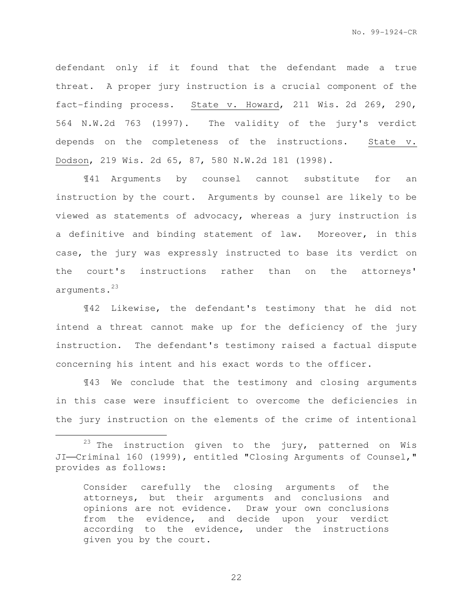defendant only if it found that the defendant made a true threat. A proper jury instruction is a crucial component of the fact-finding process. State v. Howard, 211 Wis. 2d 269, 290, 564 N.W.2d 763 (1997). The validity of the jury's verdict depends on the completeness of the instructions. State v. Dodson, 219 Wis. 2d 65, 87, 580 N.W.2d 181 (1998).

¶41 Arguments by counsel cannot substitute for an instruction by the court. Arguments by counsel are likely to be viewed as statements of advocacy, whereas a jury instruction is a definitive and binding statement of law. Moreover, in this case, the jury was expressly instructed to base its verdict on the court's instructions rather than on the attorneys' arguments.<sup>23</sup>

¶42 Likewise, the defendant's testimony that he did not intend a threat cannot make up for the deficiency of the jury instruction. The defendant's testimony raised a factual dispute concerning his intent and his exact words to the officer.

¶43 We conclude that the testimony and closing arguments in this case were insufficient to overcome the deficiencies in the jury instruction on the elements of the crime of intentional

e<br>S

 $23$  The instruction given to the jury, patterned on Wis JI-Criminal 160 (1999), entitled "Closing Arguments of Counsel," provides as follows:

Consider carefully the closing arguments of the attorneys, but their arguments and conclusions and opinions are not evidence. Draw your own conclusions from the evidence, and decide upon your verdict according to the evidence, under the instructions given you by the court.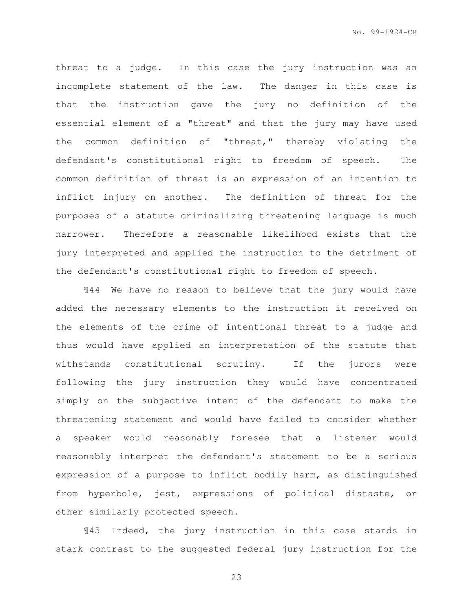threat to a judge. In this case the jury instruction was an incomplete statement of the law. The danger in this case is that the instruction gave the jury no definition of the essential element of a "threat" and that the jury may have used the common definition of "threat," thereby violating the defendant's constitutional right to freedom of speech. The common definition of threat is an expression of an intention to inflict injury on another. The definition of threat for the purposes of a statute criminalizing threatening language is much narrower. Therefore a reasonable likelihood exists that the jury interpreted and applied the instruction to the detriment of the defendant's constitutional right to freedom of speech.

¶44 We have no reason to believe that the jury would have added the necessary elements to the instruction it received on the elements of the crime of intentional threat to a judge and thus would have applied an interpretation of the statute that withstands constitutional scrutiny. If the jurors were following the jury instruction they would have concentrated simply on the subjective intent of the defendant to make the threatening statement and would have failed to consider whether a speaker would reasonably foresee that a listener would reasonably interpret the defendant's statement to be a serious expression of a purpose to inflict bodily harm, as distinguished from hyperbole, jest, expressions of political distaste, or other similarly protected speech.

¶45 Indeed, the jury instruction in this case stands in stark contrast to the suggested federal jury instruction for the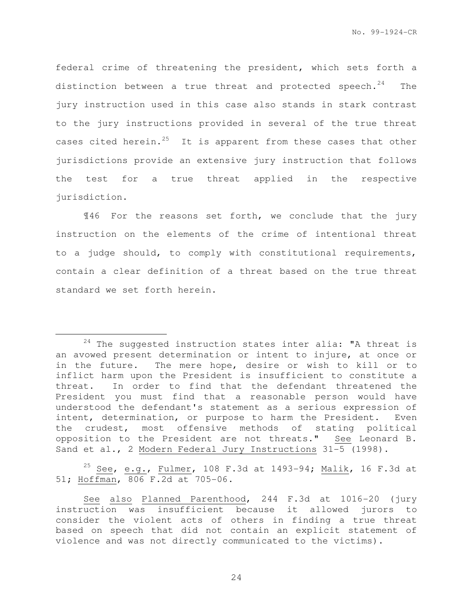federal crime of threatening the president, which sets forth a distinction between a true threat and protected speech. $24$  The jury instruction used in this case also stands in stark contrast to the jury instructions provided in several of the true threat cases cited herein.<sup>25</sup> It is apparent from these cases that other jurisdictions provide an extensive jury instruction that follows the test for a true threat applied in the respective jurisdiction.

¶46 For the reasons set forth, we conclude that the jury instruction on the elements of the crime of intentional threat to a judge should, to comply with constitutional requirements, contain a clear definition of a threat based on the true threat standard we set forth herein.

e<br>S

<sup>25</sup> See, e.g., Fulmer, 108 F.3d at 1493-94; Malik, 16 F.3d at 51; Hoffman, 806 F.2d at 705-06.

 $24$  The suggested instruction states inter alia: "A threat is an avowed present determination or intent to injure, at once or in the future. The mere hope, desire or wish to kill or to inflict harm upon the President is insufficient to constitute a threat. In order to find that the defendant threatened the President you must find that a reasonable person would have understood the defendant's statement as a serious expression of intent, determination, or purpose to harm the President. Even the crudest, most offensive methods of stating political opposition to the President are not threats." See Leonard B. Sand et al., 2 Modern Federal Jury Instructions 31-5 (1998).

See also Planned Parenthood, 244 F.3d at 1016-20 (jury instruction was insufficient because it allowed jurors to consider the violent acts of others in finding a true threat based on speech that did not contain an explicit statement of violence and was not directly communicated to the victims).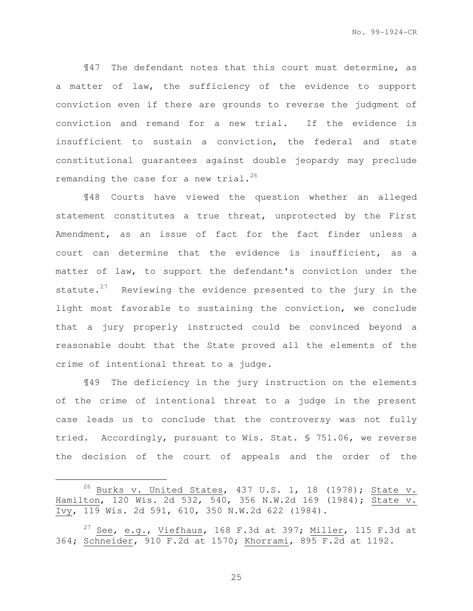¶47 The defendant notes that this court must determine, as a matter of law, the sufficiency of the evidence to support conviction even if there are grounds to reverse the judgment of conviction and remand for a new trial. If the evidence is insufficient to sustain a conviction, the federal and state constitutional guarantees against double jeopardy may preclude remanding the case for a new trial. $^{26}$ 

¶48 Courts have viewed the question whether an alleged statement constitutes a true threat, unprotected by the First Amendment, as an issue of fact for the fact finder unless a court can determine that the evidence is insufficient, as a matter of law, to support the defendant's conviction under the statute. $27$  Reviewing the evidence presented to the jury in the light most favorable to sustaining the conviction, we conclude that a jury properly instructed could be convinced beyond a reasonable doubt that the State proved all the elements of the crime of intentional threat to a judge.

¶49 The deficiency in the jury instruction on the elements of the crime of intentional threat to a judge in the present case leads us to conclude that the controversy was not fully tried. Accordingly, pursuant to Wis. Stat. § 751.06, we reverse the decision of the court of appeals and the order of the

e<br>S

<sup>&</sup>lt;sup>26</sup> Burks v. United States, 437 U.S. 1, 18 (1978); State v. Hamilton, 120 Wis. 2d 532, 540, 356 N.W.2d 169 (1984); State v. Ivy, 119 Wis. 2d 591, 610, 350 N.W.2d 622 (1984).

<sup>&</sup>lt;sup>27</sup> See, e.g., Viefhaus, 168 F.3d at 397; Miller, 115 F.3d at 364; Schneider, 910 F.2d at 1570; Khorrami, 895 F.2d at 1192.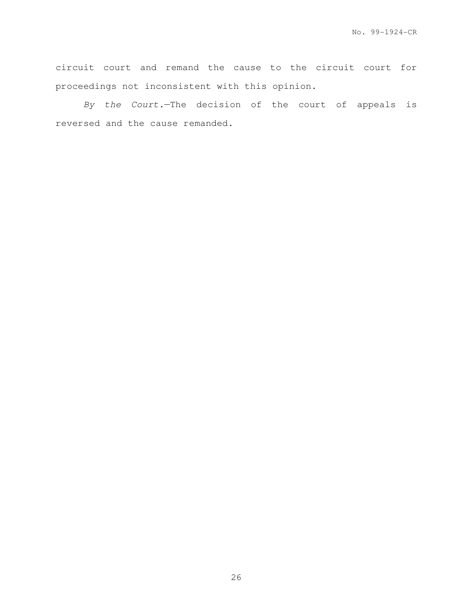circuit court and remand the cause to the circuit court for proceedings not inconsistent with this opinion.

By the Court.—The decision of the court of appeals is reversed and the cause remanded.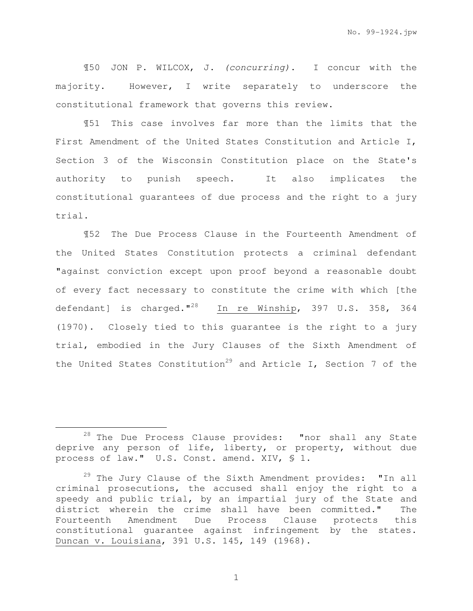¶50 JON P. WILCOX, J. (concurring). I concur with the majority. However, I write separately to underscore the constitutional framework that governs this review.

¶51 This case involves far more than the limits that the First Amendment of the United States Constitution and Article I, Section 3 of the Wisconsin Constitution place on the State's authority to punish speech. It also implicates the constitutional guarantees of due process and the right to a jury trial.

¶52 The Due Process Clause in the Fourteenth Amendment of the United States Constitution protects a criminal defendant "against conviction except upon proof beyond a reasonable doubt of every fact necessary to constitute the crime with which [the defendant] is charged."<sup>28</sup> In re Winship, 397 U.S. 358, 364 (1970). Closely tied to this guarantee is the right to a jury trial, embodied in the Jury Clauses of the Sixth Amendment of the United States Constitution<sup>29</sup> and Article I, Section 7 of the

e<br>S

 $28$  The Due Process Clause provides: "nor shall any State deprive any person of life, liberty, or property, without due process of law." U.S. Const. amend. XIV, § 1.

 $^{29}$  The Jury Clause of the Sixth Amendment provides: "In all criminal prosecutions, the accused shall enjoy the right to a speedy and public trial, by an impartial jury of the State and district wherein the crime shall have been committed." The Fourteenth Amendment Due Process Clause protects this constitutional guarantee against infringement by the states. Duncan v. Louisiana, 391 U.S. 145, 149 (1968).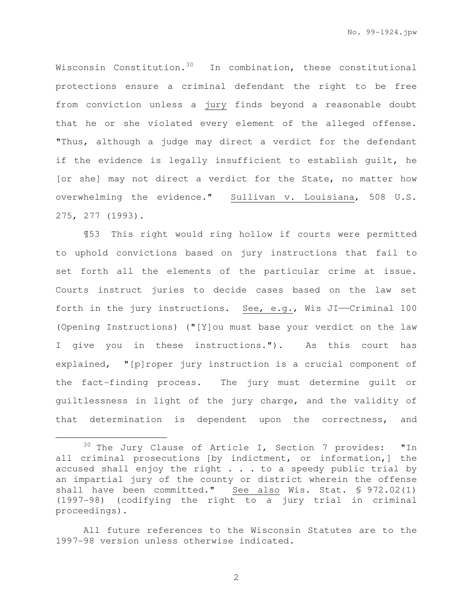Wisconsin Constitution.<sup>30</sup> In combination, these constitutional protections ensure a criminal defendant the right to be free from conviction unless a jury finds beyond a reasonable doubt that he or she violated every element of the alleged offense. "Thus, although a judge may direct a verdict for the defendant if the evidence is legally insufficient to establish guilt, he [or she] may not direct a verdict for the State, no matter how overwhelming the evidence." Sullivan v. Louisiana, 508 U.S. 275, 277 (1993).

¶53 This right would ring hollow if courts were permitted to uphold convictions based on jury instructions that fail to set forth all the elements of the particular crime at issue. Courts instruct juries to decide cases based on the law set forth in the jury instructions. See, e.g., Wis JI--Criminal 100 (Opening Instructions) ("[Y]ou must base your verdict on the law I give you in these instructions."). As this court has explained, "[p]roper jury instruction is a crucial component of the fact-finding process. The jury must determine guilt or guiltlessness in light of the jury charge, and the validity of that determination is dependent upon the correctness, and

e<br>S

All future references to the Wisconsin Statutes are to the 1997-98 version unless otherwise indicated.

 $30$  The Jury Clause of Article I, Section 7 provides: "In all criminal prosecutions [by indictment, or information,] the accused shall enjoy the right  $\ldots$  to a speedy public trial by an impartial jury of the county or district wherein the offense shall have been committed." See also Wis. Stat. § 972.02(1) (1997-98) (codifying the right to a jury trial in criminal proceedings).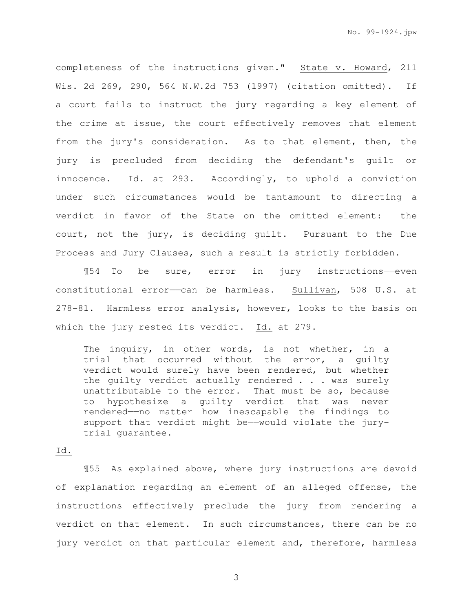completeness of the instructions given." State v. Howard, 211 Wis. 2d 269, 290, 564 N.W.2d 753 (1997) (citation omitted). If a court fails to instruct the jury regarding a key element of the crime at issue, the court effectively removes that element from the jury's consideration. As to that element, then, the jury is precluded from deciding the defendant's guilt or innocence. Id. at 293. Accordingly, to uphold a conviction under such circumstances would be tantamount to directing a verdict in favor of the State on the omitted element: the court, not the jury, is deciding guilt. Pursuant to the Due Process and Jury Clauses, such a result is strictly forbidden.

¶54 To be sure, error in jury instructions——even constitutional error--can be harmless. Sullivan, 508 U.S. at 278-81. Harmless error analysis, however, looks to the basis on which the jury rested its verdict. Id. at 279.

The inquiry, in other words, is not whether, in a trial that occurred without the error, a guilty verdict would surely have been rendered, but whether the guilty verdict actually rendered . . . was surely unattributable to the error. That must be so, because to hypothesize a guilty verdict that was never rendered——no matter how inescapable the findings to support that verdict might be——would violate the jurytrial guarantee.

### Id.

¶55 As explained above, where jury instructions are devoid of explanation regarding an element of an alleged offense, the instructions effectively preclude the jury from rendering a verdict on that element. In such circumstances, there can be no jury verdict on that particular element and, therefore, harmless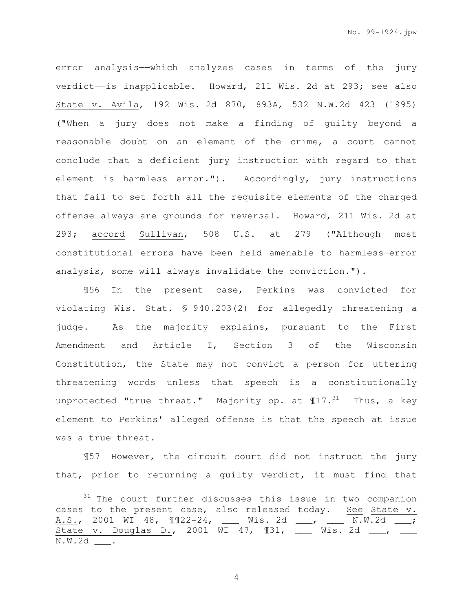error analysis——which analyzes cases in terms of the jury verdict-is inapplicable. Howard, 211 Wis. 2d at 293; see also State v. Avila, 192 Wis. 2d 870, 893A, 532 N.W.2d 423 (1995) ("When a jury does not make a finding of guilty beyond a reasonable doubt on an element of the crime, a court cannot conclude that a deficient jury instruction with regard to that element is harmless error."). Accordingly, jury instructions that fail to set forth all the requisite elements of the charged offense always are grounds for reversal. Howard, 211 Wis. 2d at 293; accord Sullivan, 508 U.S. at 279 ("Although most constitutional errors have been held amenable to harmless-error analysis, some will always invalidate the conviction.").

¶56 In the present case, Perkins was convicted for violating Wis. Stat. § 940.203(2) for allegedly threatening a judge. As the majority explains, pursuant to the First Amendment and Article I, Section 3 of the Wisconsin Constitution, the State may not convict a person for uttering threatening words unless that speech is a constitutionally unprotected "true threat." Majority op. at  $17.^{31}$  Thus, a key element to Perkins' alleged offense is that the speech at issue was a true threat.

¶57 However, the circuit court did not instruct the jury that, prior to returning a guilty verdict, it must find that

e<br>S

<sup>&</sup>lt;sup>31</sup> The court further discusses this issue in two companion cases to the present case, also released today. See State v. A.S., 2001 WI 48, ¶¶22-24, \_\_\_ Wis. 2d \_\_\_, \_\_\_ N.W.2d \_\_\_; State v. Douglas D., 2001 WI 47, 131, 183. 2d 1, 1, N.W.2d \_\_\_.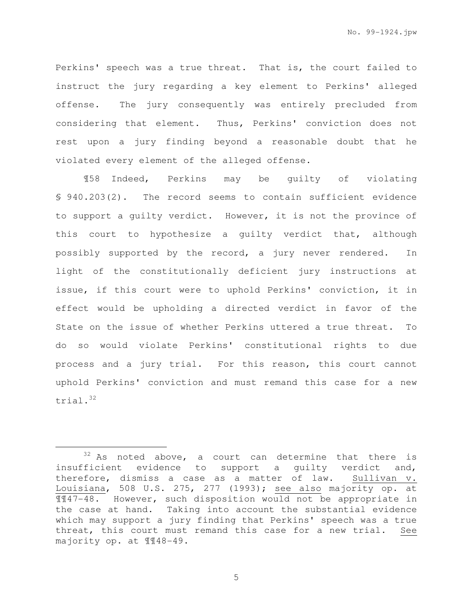Perkins' speech was a true threat. That is, the court failed to instruct the jury regarding a key element to Perkins' alleged offense. The jury consequently was entirely precluded from considering that element. Thus, Perkins' conviction does not rest upon a jury finding beyond a reasonable doubt that he violated every element of the alleged offense.

¶58 Indeed, Perkins may be guilty of violating § 940.203(2). The record seems to contain sufficient evidence to support a guilty verdict. However, it is not the province of this court to hypothesize a guilty verdict that, although possibly supported by the record, a jury never rendered. In light of the constitutionally deficient jury instructions at issue, if this court were to uphold Perkins' conviction, it in effect would be upholding a directed verdict in favor of the State on the issue of whether Perkins uttered a true threat. To do so would violate Perkins' constitutional rights to due process and a jury trial. For this reason, this court cannot uphold Perkins' conviction and must remand this case for a new trial.<sup>32</sup>

i<br>H

 $32$  As noted above, a court can determine that there is insufficient evidence to support a guilty verdict and, therefore, dismiss a case as a matter of law. Sullivan v. Louisiana, 508 U.S. 275, 277 (1993); see also majority op. at ¶¶47-48. However, such disposition would not be appropriate in the case at hand. Taking into account the substantial evidence which may support a jury finding that Perkins' speech was a true threat, this court must remand this case for a new trial. See majority op. at ¶¶48-49.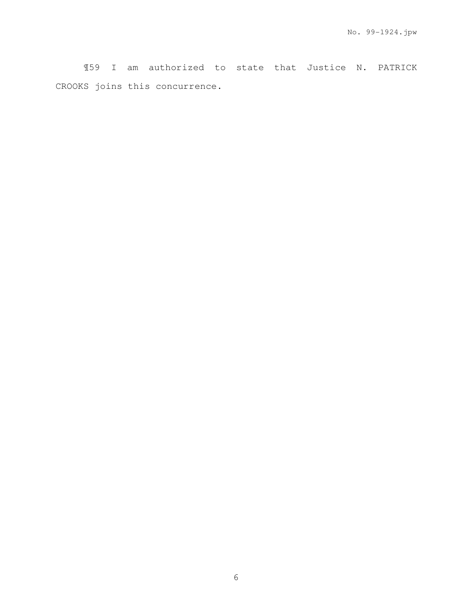¶59 I am authorized to state that Justice N. PATRICK CROOKS joins this concurrence.